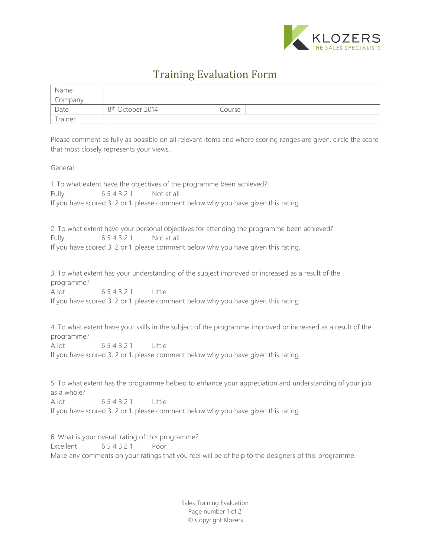

## Training Evaluation Form

| Name    |                              |        |
|---------|------------------------------|--------|
| Company |                              |        |
| Date    | 8 <sup>th</sup> October 2014 | Course |
| Trainer |                              |        |

Please comment as fully as possible on all relevant items and where scoring ranges are given, circle the score that most closely represents your views.

## General

1. To what extent have the objectives of the programme been achieved? Fully 6 5 4 3 2 1 Not at all If you have scored 3, 2 or 1, please comment below why you have given this rating.

2. To what extent have your personal objectives for attending the programme been achieved? Fully 6 5 4 3 2 1 Not at all If you have scored 3, 2 or 1, please comment below why you have given this rating.

3. To what extent has your understanding of the subject improved or increased as a result of the programme? A lot 654321 Little

If you have scored 3, 2 or 1, please comment below why you have given this rating.

4. To what extent have your skills in the subject of the programme improved or increased as a result of the programme? A lot 654321 Little

If you have scored 3, 2 or 1, please comment below why you have given this rating.

5. To what extent has the programme helped to enhance your appreciation and understanding of your job as a whole?

A lot 654321 little

If you have scored 3, 2 or 1, please comment below why you have given this rating.

6. What is your overall rating of this programme? Excellent 654321 Poor Make any comments on your ratings that you feel will be of help to the designers of this programme.

> Sales Training Evaluation Page number 1 of 2 © Copyright Klozers